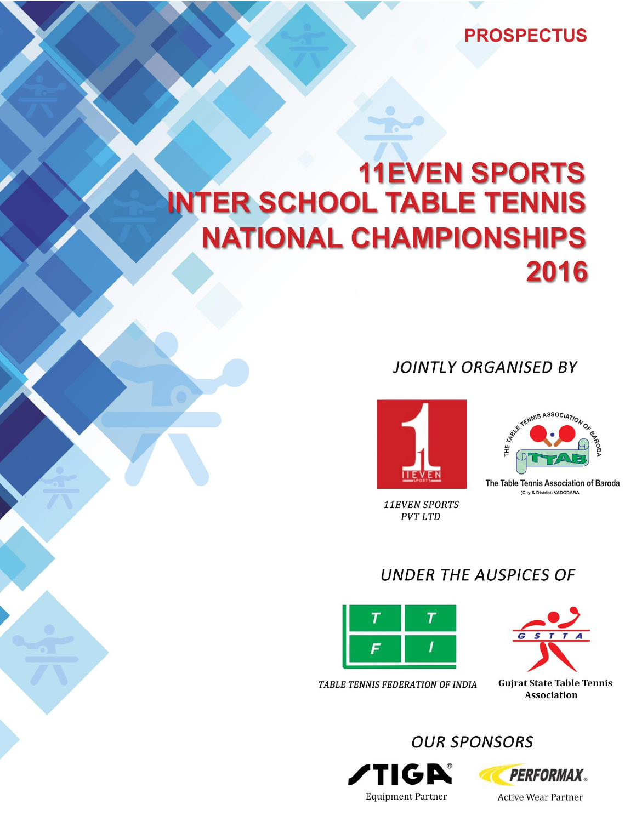## **PROSPECTUS**

# **11EVEN SPORTS INTER SCHOOL TABLE TENNIS NATIONAL CHAMPIONSHIPS** 2016

## **JOINTLY ORGANISED BY**



**11EVEN SPORTS PVT LTD** 



The Table Tennis Association of Baroda (City & District) VADODARA

# **UNDER THE AUSPICES OF**





TABLE TENNIS FEDERATION OF INDIA

**OUR SPONSORS** 





**Active Wear Partner**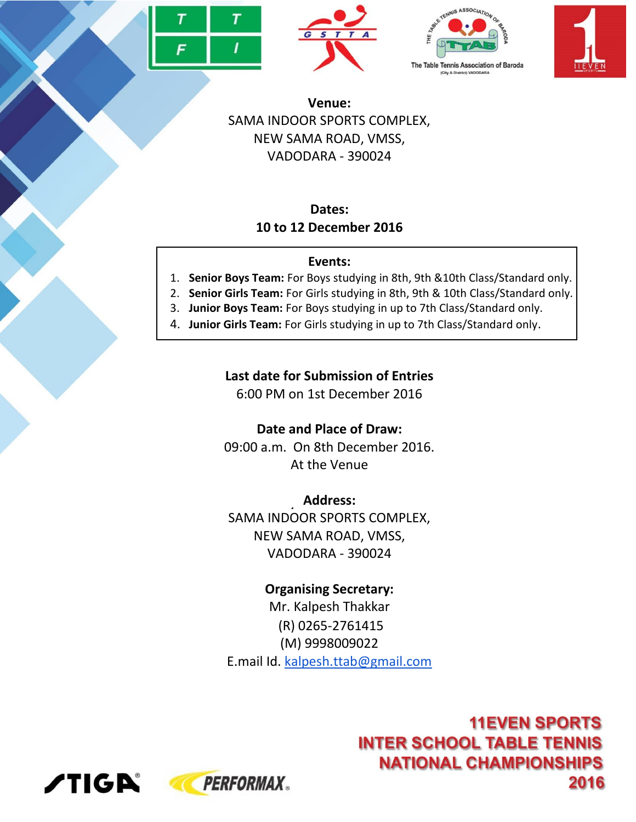







**Venue:** SAMA INDOOR SPORTS COMPLEX, NEW SAMA ROAD, VMSS, VADODARA - 390024

#### **Dates: 10 to 12 December 2016**

#### **Events:**

- 1. **Senior Boys Team:** For Boys studying in 8th, 9th &10th Class/Standard only.
- 2. **Senior Girls Team:** For Girls studying in 8th, 9th & 10th Class/Standard only.
- 3. **Junior Boys Team:** For Boys studying in up to 7th Class/Standard only.
- 4. **Junior Girls Team:** For Girls studying in up to 7th Class/Standard only.

### **Last date for Submission of Entries**

6:00 PM on 1st December 2016

**Date and Place of Draw:**

09:00 a.m. On 8th December 2016. At the Venue

**Address:** SAMA INDOOR SPORTS COMPLEX, NEW SAMA ROAD, VMSS, VADODARA - 390024

## **Organising Secretary:**

Mr. Kalpesh Thakkar (R) 0265-2761415 (M) 9998009022 E.mail Id. [kalpesh.ttab@gmail.com](mailto:kalpesh.ttab@gmail.com)

> **11EVEN SPORTS INTER SCHOOL TABLE TENNIS NATIONAL CHAMPIONSHIPS** 2016